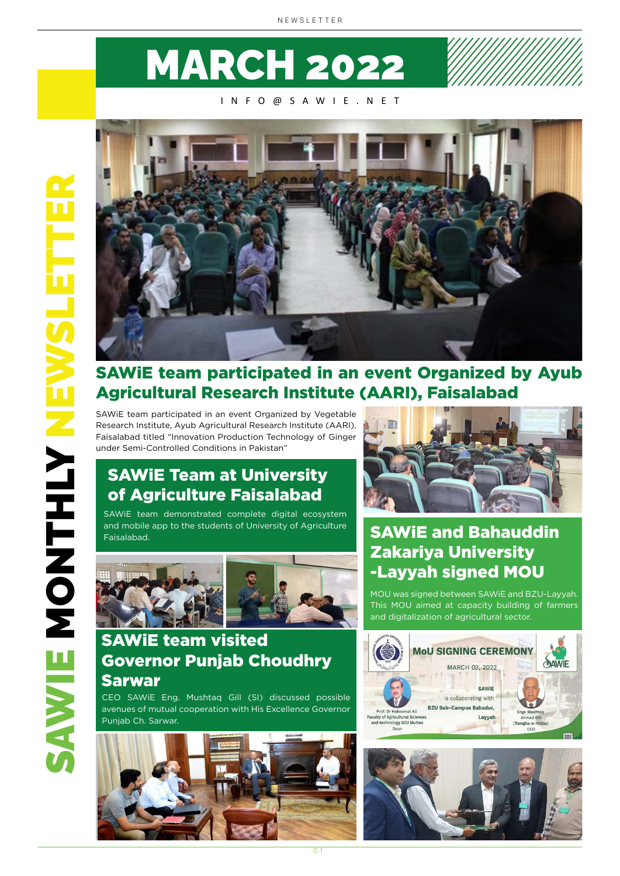# MARCH 2022

#### INFO@SAWIE.NET



#### SAWiE team participated in an event Organized by Ayub Agricultural Research Institute (AARI), Faisalabad

SAWiE team participated in an event Organized by Vegetable Research Institute, Ayub Agricultural Research Institute (AARI), Faisalabad titled "Innovation Production Technology of Ginger under Semi-Controlled Conditions in Pakistan"

#### SAWiE Team at University of Agriculture Faisalabad

SAWiE team demonstrated complete digital ecosystem and mobile app to the students of University of Agriculture Faisalabad.



#### SAWiE team visited Governor Punjab Choudhry Sarwar

CEO SAWiE Eng. Mushtaq Gill (SI) discussed possible avenues of mutual cooperation with His Excellence Governor Punjab Ch. Sarwar.





#### SAWiE and Bahauddin Zakariya University -Layyah signed MOU

MOU was signed between SAWiE and BZU-Layyah. This MOU aimed at capacity building of farmers and digitalization of agricultural sector.